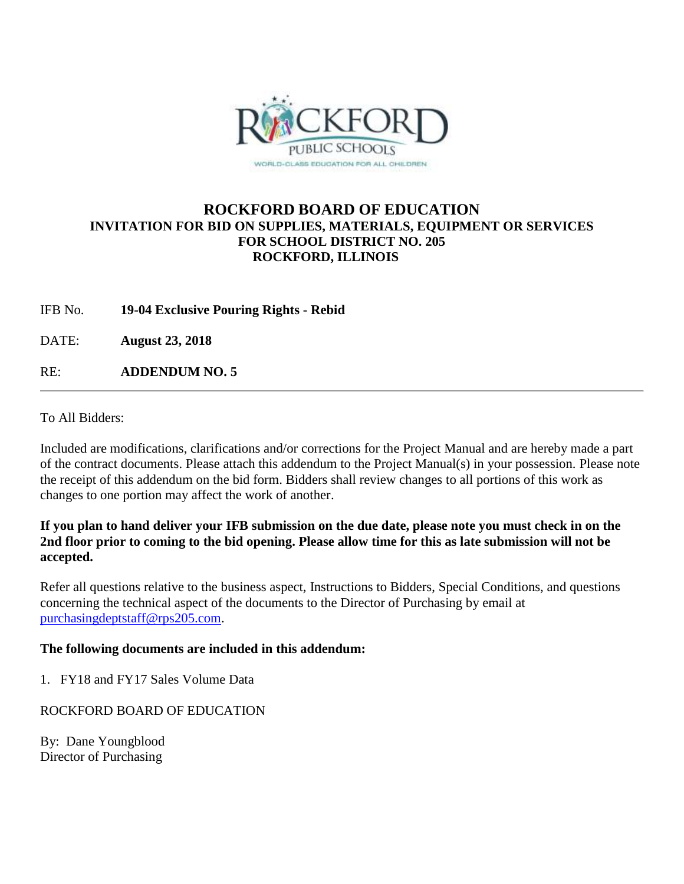

## **ROCKFORD BOARD OF EDUCATION INVITATION FOR BID ON SUPPLIES, MATERIALS, EQUIPMENT OR SERVICES FOR SCHOOL DISTRICT NO. 205 ROCKFORD, ILLINOIS**

IFB No. **19-04 Exclusive Pouring Rights - Rebid**

DATE: **August 23, 2018**

RE: **ADDENDUM NO. 5**

To All Bidders:

Included are modifications, clarifications and/or corrections for the Project Manual and are hereby made a part of the contract documents. Please attach this addendum to the Project Manual(s) in your possession. Please note the receipt of this addendum on the bid form. Bidders shall review changes to all portions of this work as changes to one portion may affect the work of another.

### **If you plan to hand deliver your IFB submission on the due date, please note you must check in on the 2nd floor prior to coming to the bid opening. Please allow time for this as late submission will not be accepted.**

Refer all questions relative to the business aspect, Instructions to Bidders, Special Conditions, and questions concerning the technical aspect of the documents to the Director of Purchasing by email at [purchasingdeptstaff@rps205.com.](mailto:purchasingdeptstaff@rps205.com)

### **The following documents are included in this addendum:**

1. FY18 and FY17 Sales Volume Data

### ROCKFORD BOARD OF EDUCATION

By: Dane Youngblood Director of Purchasing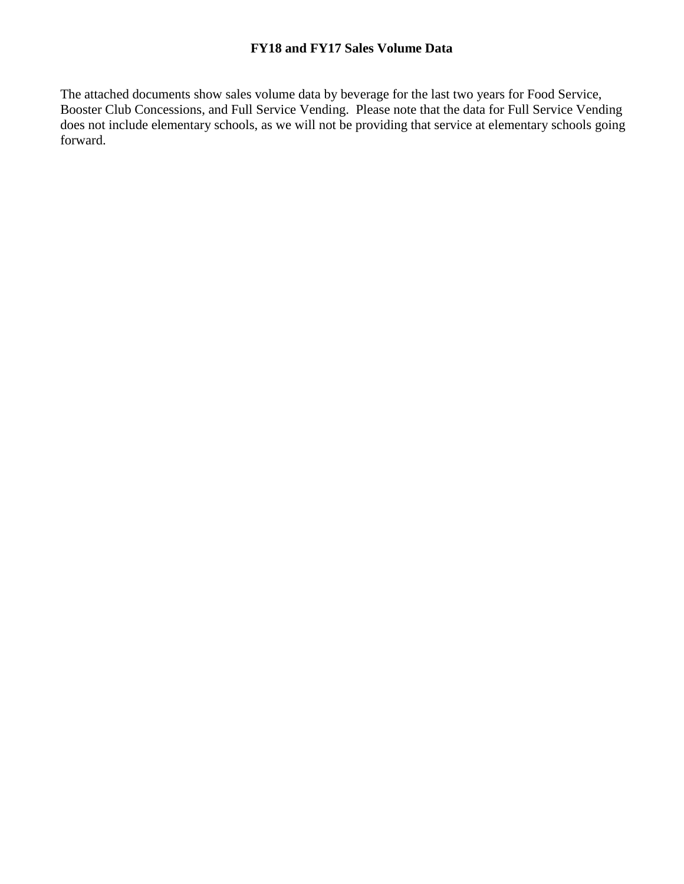### **FY18 and FY17 Sales Volume Data**

The attached documents show sales volume data by beverage for the last two years for Food Service, Booster Club Concessions, and Full Service Vending. Please note that the data for Full Service Vending does not include elementary schools, as we will not be providing that service at elementary schools going forward.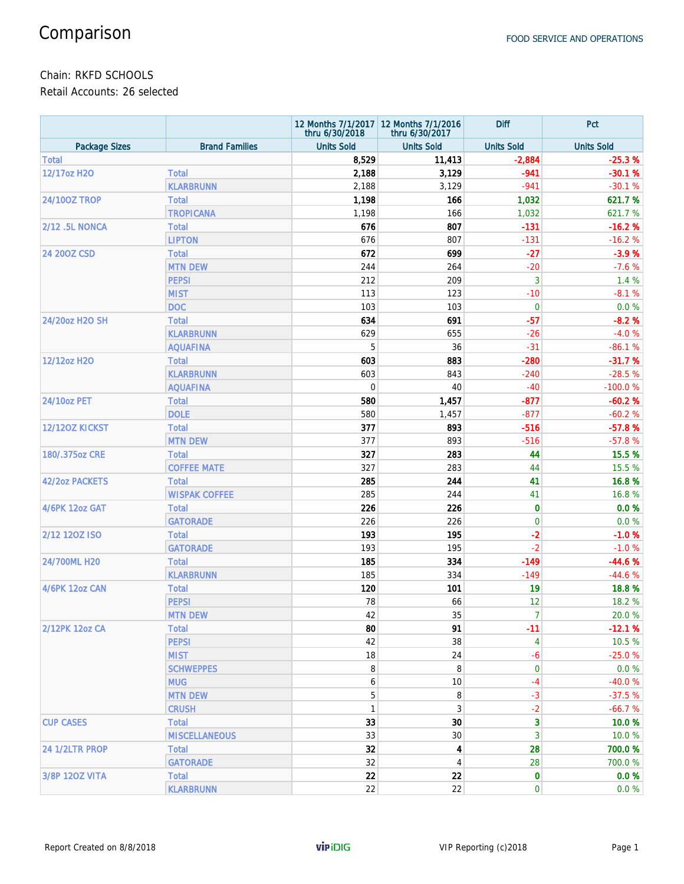### Chain: RKFD SCHOOLS

Retail Accounts: 26 selected

|                       |                       | thru 6/30/2018    | 12 Months 7/1/2017 12 Months 7/1/2016<br>thru 6/30/2017 | <b>Diff</b>       | Pct               |
|-----------------------|-----------------------|-------------------|---------------------------------------------------------|-------------------|-------------------|
| <b>Package Sizes</b>  | <b>Brand Families</b> | <b>Units Sold</b> | <b>Units Sold</b>                                       | <b>Units Sold</b> | <b>Units Sold</b> |
| <b>Total</b>          |                       | 8,529             | 11,413                                                  | $-2,884$          | $-25.3%$          |
| 12/17oz H2O           | <b>Total</b>          | 2,188             | 3,129                                                   | $-941$            | $-30.1%$          |
|                       | <b>KLARBRUNN</b>      | 2,188             | 3,129                                                   | $-941$            | $-30.1%$          |
| <b>24/100Z TROP</b>   | <b>Total</b>          | 1,198             | 166                                                     | 1,032             | 621.7%            |
|                       | <b>TROPICANA</b>      | 1,198             | 166                                                     | 1,032             | 621.7 %           |
| <b>2/12 .5L NONCA</b> | <b>Total</b>          | 676               | 807                                                     | $-131$            | $-16.2%$          |
|                       | <b>LIPTON</b>         | 676               | 807                                                     | $-131$            | $-16.2%$          |
| 24 200Z CSD           | <b>Total</b>          | 672               | 699                                                     | $-27$             | $-3.9%$           |
|                       | <b>MTN DEW</b>        | 244               | 264                                                     | $-20$             | $-7.6%$           |
|                       | <b>PEPSI</b>          | 212               | 209                                                     | 3                 | 1.4 %             |
|                       | <b>MIST</b>           | 113               | 123                                                     | $-10$             | $-8.1%$           |
|                       | <b>DOC</b>            | 103               | 103                                                     | $\mathbf 0$       | 0.0%              |
| 24/20oz H2O SH        | <b>Total</b>          | 634               | 691                                                     | -57               | $-8.2%$           |
|                       | <b>KLARBRUNN</b>      | 629               | 655                                                     | $-26$             | $-4.0%$           |
|                       | <b>AQUAFINA</b>       | 5                 | 36                                                      | $-31$             | $-86.1%$          |
| 12/12oz H2O           | <b>Total</b>          | 603               | 883                                                     | $-280$            | $-31.7%$          |
|                       | <b>KLARBRUNN</b>      | 603               | 843                                                     | $-240$            | $-28.5%$          |
|                       | <b>AQUAFINA</b>       | 0                 | 40                                                      | $-40$             | $-100.0%$         |
| 24/10oz PET           | <b>Total</b>          | 580               | 1,457                                                   | $-877$            | $-60.2%$          |
|                       | <b>DOLE</b>           | 580               | 1,457                                                   | $-877$            | $-60.2%$          |
| 12/120Z KICKST        | <b>Total</b>          | 377               | 893                                                     | $-516$            | $-57.8%$          |
|                       | <b>MTN DEW</b>        | 377               | 893                                                     | $-516$            | $-57.8%$          |
| 180/.375oz CRE        | <b>Total</b>          | 327               | 283                                                     | 44                | 15.5 %            |
|                       | <b>COFFEE MATE</b>    | 327               | 283                                                     | 44                | 15.5 %            |
| <b>42/2oz PACKETS</b> | <b>Total</b>          | 285               | 244                                                     | 41                | 16.8%             |
|                       | <b>WISPAK COFFEE</b>  | 285               | 244                                                     | 41                | 16.8%             |
| 4/6PK 12oz GAT        | <b>Total</b>          | 226               | 226                                                     | $\mathbf 0$       | 0.0%              |
|                       | <b>GATORADE</b>       | 226               | 226                                                     | $\mathbf 0$       | 0.0%              |
| 2/12 120Z ISO         | <b>Total</b>          | 193               | 195                                                     | $-2$              | $-1.0%$           |
|                       | <b>GATORADE</b>       | 193               | 195                                                     | $-2$              | $-1.0%$           |
| 24/700ML H20          | <b>Total</b>          | 185               | 334                                                     | $-149$            | $-44.6%$          |
|                       | <b>KLARBRUNN</b>      | 185               | 334                                                     | $-149$            | $-44.6%$          |
| <b>4/6PK 12oz CAN</b> | <b>Total</b>          | 120               | 101                                                     | 19                | 18.8%             |
|                       | <b>PEPSI</b>          | 78                | 66                                                      | 12                | 18.2 %            |
|                       | <b>MTN DEW</b>        | 42                | 35                                                      | $\overline{7}$    | 20.0 %            |
| 2/12PK 12oz CA        | <b>Total</b>          | 80                | 91                                                      | $-11$             | $-12.1%$          |
|                       | <b>PEPSI</b>          | 42                | 38                                                      | 4                 | 10.5 %            |
|                       | <b>MIST</b>           | 18                | 24                                                      | -6                | $-25.0%$          |
|                       | <b>SCHWEPPES</b>      | 8                 | 8                                                       | $\mathbf 0$       | $0.0 \%$          |
|                       | <b>MUG</b>            | 6                 | 10                                                      | $-4$              | $-40.0%$          |
|                       | <b>MTN DEW</b>        | 5                 | 8                                                       | $-3$              | $-37.5%$          |
|                       | <b>CRUSH</b>          | $\mathbf{1}$      | 3                                                       | $-2$              | $-66.7%$          |
| <b>CUP CASES</b>      | <b>Total</b>          | 33                | 30                                                      | 3                 | 10.0 %            |
|                       | <b>MISCELLANEOUS</b>  | 33                | 30                                                      | 3                 | 10.0%             |
| 24 1/2LTR PROP        | <b>Total</b>          | 32                | 4                                                       | 28                | 700.0%            |
|                       | <b>GATORADE</b>       | 32                | 4                                                       | 28                | 700.0%            |
| 3/8P 120Z VITA        | <b>Total</b>          | 22                | 22                                                      | $\mathbf 0$       | 0.0 %             |
|                       | <b>KLARBRUNN</b>      | 22                | 22                                                      | $\mathbf 0$       | $0.0 \%$          |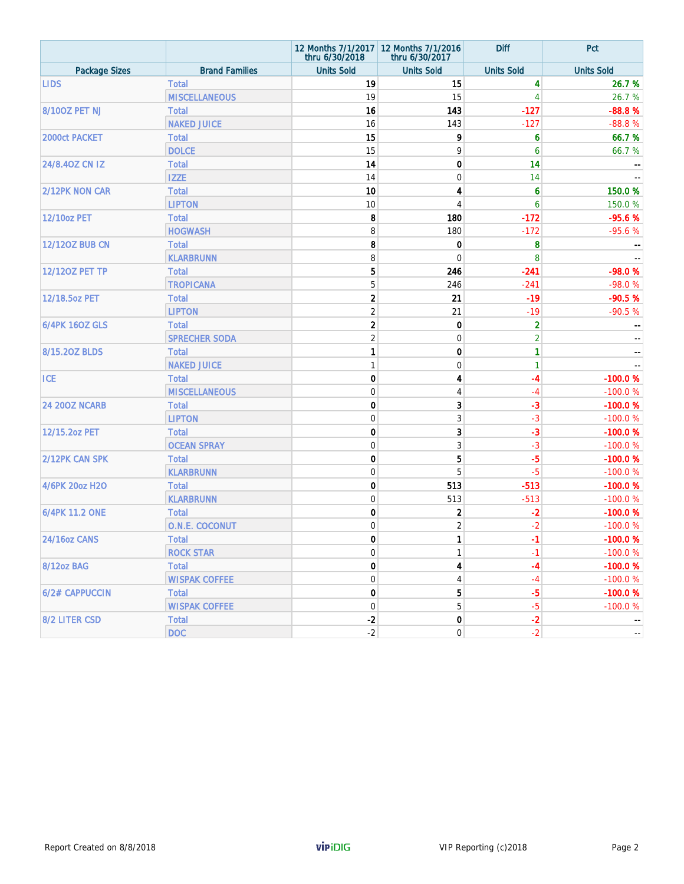|                       |                       | thru 6/30/2018    | 12 Months 7/1/2017 12 Months 7/1/2016<br>thru 6/30/2017 | <b>Diff</b>         | Pct               |
|-----------------------|-----------------------|-------------------|---------------------------------------------------------|---------------------|-------------------|
| <b>Package Sizes</b>  | <b>Brand Families</b> | <b>Units Sold</b> | <b>Units Sold</b>                                       | <b>Units Sold</b>   | <b>Units Sold</b> |
| <b>LIDS</b>           | <b>Total</b>          | 19                | 15                                                      | 4                   | 26.7 %            |
|                       | <b>MISCELLANEOUS</b>  | 19                | 15                                                      | 4                   | 26.7%             |
| 8/100Z PET NJ         | <b>Total</b>          | 16                | 143                                                     | $-127$              | $-88.8%$          |
|                       | <b>NAKED JUICE</b>    | 16                | 143                                                     | $-127$              | $-88.8%$          |
| 2000ct PACKET         | <b>Total</b>          | 15                | 9                                                       | 6                   | 66.7%             |
|                       | <b>DOLCE</b>          | 15                | 9                                                       | 6                   | 66.7 %            |
| 24/8.40Z CN IZ        | <b>Total</b>          | 14                | 0                                                       | 14                  |                   |
|                       | <b>IZZE</b>           | 14                | 0                                                       | 14                  |                   |
| 2/12PK NON CAR        | <b>Total</b>          | 10                | 4                                                       | $\ddot{\mathbf{6}}$ | 150.0%            |
|                       | <b>LIPTON</b>         | 10                | 4                                                       | 6                   | 150.0%            |
| <b>12/10oz PET</b>    | <b>Total</b>          | 8                 | 180                                                     | $-172$              | $-95.6%$          |
|                       | <b>HOGWASH</b>        | 8                 | 180                                                     | $-172$              | $-95.6%$          |
| <b>12/120Z BUB CN</b> | <b>Total</b>          | 8                 | 0                                                       | 8                   |                   |
|                       | <b>KLARBRUNN</b>      | 8                 | $\overline{0}$                                          | 8                   |                   |
| <b>12/120Z PET TP</b> | <b>Total</b>          | 5                 | 246                                                     | $-241$              | $-98.0%$          |
|                       | <b>TROPICANA</b>      | 5                 | 246                                                     | $-241$              | $-98.0%$          |
| 12/18.5oz PET         | <b>Total</b>          | $\overline{2}$    | 21                                                      | $-19$               | $-90.5%$          |
|                       | <b>LIPTON</b>         | $\overline{2}$    | 21                                                      | $-19$               | $-90.5%$          |
| <b>6/4PK 160Z GLS</b> | <b>Total</b>          | $\overline{2}$    | 0                                                       | $\overline{a}$      |                   |
|                       | <b>SPRECHER SODA</b>  | $\overline{2}$    | $\mathbf 0$                                             | $\overline{c}$      |                   |
| 8/15.20Z BLDS         | <b>Total</b>          | 1                 | 0                                                       | 1                   |                   |
|                       | <b>NAKED JUICE</b>    | $\mathbf{1}$      | $\mathbf 0$                                             | 1                   |                   |
| <b>ICE</b>            | <b>Total</b>          | $\mathbf 0$       | 4                                                       | -4                  | $-100.0%$         |
|                       | <b>MISCELLANEOUS</b>  | $\overline{0}$    | $\overline{4}$                                          | $-4$                | $-100.0%$         |
| <b>24 200Z NCARB</b>  | <b>Total</b>          | $\mathbf 0$       | 3                                                       | $-3$                | $-100.0%$         |
|                       | <b>LIPTON</b>         | $\overline{0}$    | 3                                                       | $-3$                | $-100.0%$         |
| 12/15.2oz PET         | <b>Total</b>          | $\mathbf 0$       | 3                                                       | $-3$                | $-100.0%$         |
|                       | <b>OCEAN SPRAY</b>    | $\overline{0}$    | 3                                                       | $-3$                | $-100.0%$         |
| 2/12PK CAN SPK        | <b>Total</b>          | $\mathbf 0$       | 5                                                       | $-5$                | $-100.0%$         |
|                       | <b>KLARBRUNN</b>      | $\overline{0}$    | 5                                                       | $-5$                | $-100.0%$         |
| 4/6PK 20oz H2O        | <b>Total</b>          | $\mathbf 0$       | 513                                                     | $-513$              | $-100.0%$         |
|                       | <b>KLARBRUNN</b>      | $\overline{0}$    | 513                                                     | $-513$              | $-100.0%$         |
| 6/4PK 11.2 ONE        | <b>Total</b>          | $\mathbf 0$       | $\mathbf 2$                                             | $-2$                | $-100.0%$         |
|                       | O.N.E. COCONUT        | $\overline{0}$    | $\overline{2}$                                          | $-2$                | $-100.0%$         |
| <b>24/16oz CANS</b>   | Total                 | 0                 | 1                                                       | $-1$                | $-100.0%$         |
|                       | <b>ROCK STAR</b>      | $\mathbf 0$       | $\mathbf{1}$                                            | $-1$                | $-100.0%$         |
| 8/12oz BAG            | Total                 | $\mathbf 0$       | 4                                                       | $-4$                | $-100.0%$         |
|                       | <b>WISPAK COFFEE</b>  | $\mathbf{0}$      | 4                                                       | $-4$                | $-100.0%$         |
| 6/2# CAPPUCCIN        | <b>Total</b>          | $\mathbf 0$       | 5                                                       | $-5$                | $-100.0%$         |
|                       | <b>WISPAK COFFEE</b>  | $\mathbf{0}$      | 5                                                       | $-5$                | $-100.0%$         |
| 8/2 LITER CSD         | <b>Total</b>          | $-2$              | 0                                                       | $-2$                |                   |
|                       | <b>DOC</b>            | $-2$              | $\boldsymbol{0}$                                        | $-2$                |                   |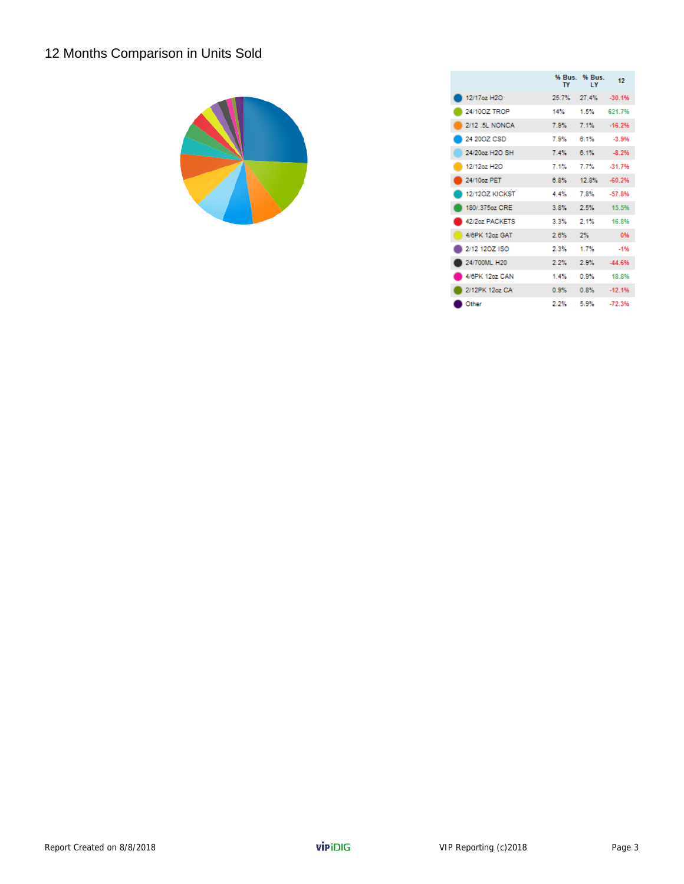# 12 Months Comparison in Units Sold



|                       | TY    | % Bus. % Bus.<br>$\mathbf{I}$ | 12       |
|-----------------------|-------|-------------------------------|----------|
| 12/17oz H2O           | 25.7% | 27.4%                         | $-30.1%$ |
| 24/100Z TROP          | 14%   | 1.5%                          | 621 7%   |
| 2/12 5L NONCA         | 7.9%  | 7.1%                          | $-16.2%$ |
| 24.200Z CSD           | 7.9%  | 6.1%                          | $-3.9%$  |
| 24/20oz H2O SH        | 7.4%  | 6.1%                          | $-8.2%$  |
| 12/12oz H2O           | 7.1%  | 7.7%                          | $-31.7%$ |
| 24/10oz PET           | 6.8%  | 12.8%                         | $-60.2%$ |
| <b>12/1207 KICKST</b> | 4.4%  | 7.8%                          | $-57.8%$ |
| 180/ 375oz CRE        | 3.8%  | 2.5%                          | 15.5%    |
| 42/2oz PACKETS        | 3.3%  | 2.1%                          | 16.8%    |
| 4/6PK 12oz GAT        | 2.8%  | 2%                            | 0%       |
| 2/12 120Z ISO         | 2.3%  | 1.7%                          | $-1%$    |
| 24/700ML H20          | 2.2%  | 2.9%                          | $-44.6%$ |
| 4/6PK 12oz CAN        | 1.4%  | 0.9%                          | 18.8%    |
| 2/12PK 12oz CA        | 0.9%  | 0.8%                          | $-12.1%$ |
| Other                 | 2.2%  | 5.9%                          | $-72.3%$ |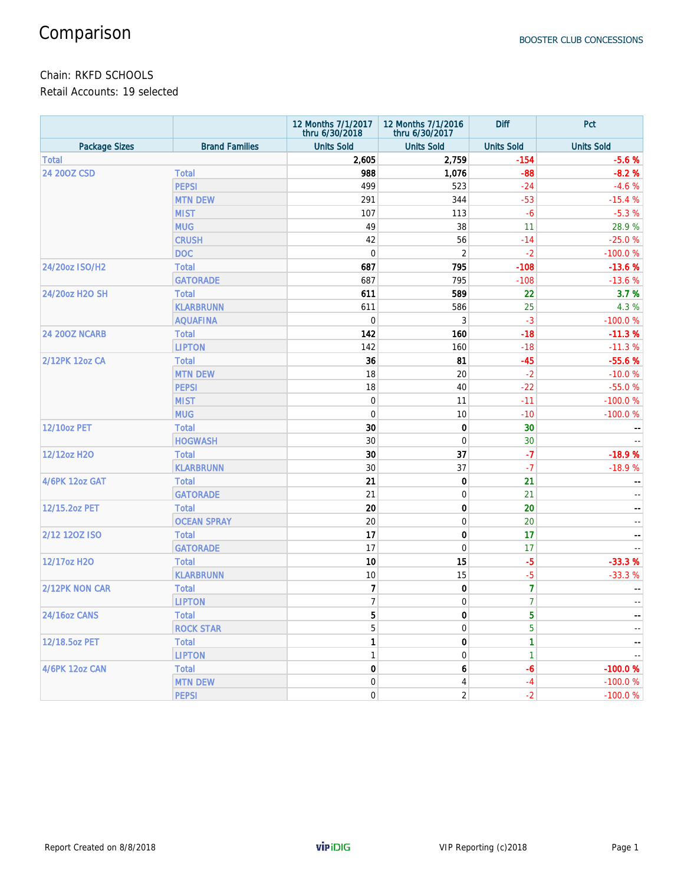### Chain: RKFD SCHOOLS

Retail Accounts: 19 selected

|                      |                        | 12 Months 7/1/2017<br>thru 6/30/2018 | 12 Months 7/1/2016<br>thru 6/30/2017 | <b>Diff</b>       | Pct                                   |
|----------------------|------------------------|--------------------------------------|--------------------------------------|-------------------|---------------------------------------|
| <b>Package Sizes</b> | <b>Brand Families</b>  | <b>Units Sold</b>                    | <b>Units Sold</b>                    | <b>Units Sold</b> | <b>Units Sold</b>                     |
| <b>Total</b>         |                        | 2,605                                | 2,759                                | $-154$            | $-5.6%$                               |
| 24 200Z CSD          | <b>Total</b>           | 988                                  | 1,076                                | $-88$             | $-8.2%$                               |
|                      | <b>PEPSI</b>           | 499                                  | 523                                  | $-24$             | $-4.6%$                               |
|                      | <b>MTN DEW</b>         | 291                                  | 344                                  | $-53$             | $-15.4%$                              |
|                      | <b>MIST</b>            | 107                                  | 113                                  | $-6$              | $-5.3%$                               |
|                      | <b>MUG</b>             | 49                                   | 38                                   | 11                | 28.9%                                 |
|                      | <b>CRUSH</b>           | 42                                   | 56                                   | $-14$             | $-25.0%$                              |
|                      | <b>DOC</b>             | $\boldsymbol{0}$                     | $\overline{2}$                       | $-2$              | $-100.0%$                             |
| 24/20oz ISO/H2       | <b>Total</b>           | 687                                  | 795                                  | $-108$            | $-13.6%$                              |
|                      | <b>GATORADE</b>        | 687                                  | 795                                  | $-108$            | $-13.6%$                              |
| 24/20oz H2O SH       | <b>Total</b>           | 611                                  | 589                                  | 22                | 3.7%                                  |
|                      | <b>KLARBRUNN</b>       | 611                                  | 586                                  | 25                | 4.3 %                                 |
|                      | <b>AQUAFINA</b>        | $\boldsymbol{0}$                     | 3                                    | $-3$              | $-100.0%$                             |
| <b>24 200Z NCARB</b> | <b>Total</b>           | 142                                  | 160                                  | $-18$             | $-11.3%$                              |
|                      | <b>LIPTON</b>          | 142                                  | 160                                  | $-18$             | $-11.3%$                              |
| 2/12PK 12oz CA       | <b>Total</b>           | 36                                   | 81                                   | $-45$             | $-55.6%$                              |
|                      | <b>MTN DEW</b>         | 18                                   | 20                                   | $-2$              | $-10.0%$                              |
|                      | <b>PEPSI</b>           | 18                                   | 40                                   | $-22$             | $-55.0%$                              |
|                      | <b>MIST</b>            | $\boldsymbol{0}$                     | 11                                   | $-11$             | $-100.0%$                             |
|                      | <b>MUG</b>             | $\boldsymbol{0}$                     | 10                                   | $-10$             | $-100.0%$                             |
| <b>12/10oz PET</b>   | <b>Total</b>           | 30                                   | 0                                    | 30                |                                       |
|                      | <b>HOGWASH</b>         | 30                                   | $\mathbf 0$                          | 30                |                                       |
| 12/12oz H2O          | <b>Total</b>           | 30                                   | 37                                   | $-7$              | $-18.9%$                              |
|                      | <b>KLARBRUNN</b>       | 30                                   | 37                                   | $-7$              | $-18.9%$                              |
| 4/6PK 12oz GAT       | <b>Total</b>           | 21                                   | 0                                    | 21                |                                       |
|                      | <b>GATORADE</b>        | 21                                   | $\mathbf 0$                          | 21                | $\overline{\phantom{a}}$              |
| 12/15.2oz PET        | <b>Total</b>           | 20                                   | 0                                    | 20                | $\qquad \qquad -$                     |
|                      | <b>OCEAN SPRAY</b>     | 20                                   | $\mathbf 0$                          | 20                | $\frac{1}{2}$                         |
| 2/12 120Z ISO        | <b>Total</b>           | 17                                   | 0                                    | 17                | $\hspace{0.05cm}$ – $\hspace{0.05cm}$ |
|                      | <b>GATORADE</b>        | 17                                   | $\mathbf 0$                          | 17                |                                       |
| 12/17oz H2O          | <b>Total</b>           | 10                                   | 15                                   | $-5$              | $-33.3%$                              |
|                      | <b>KLARBRUNN</b>       | 10                                   | 15                                   | $-5$              | $-33.3%$                              |
| 2/12PK NON CAR       | <b>Total</b>           | $\overline{7}$                       | 0                                    | $\overline{7}$    |                                       |
|                      | <b>LIPTON</b>          | $\overline{7}$                       | $\mathbf 0$                          | $\overline{7}$    | $\sim$ $\sim$                         |
| <b>24/16oz CANS</b>  | Total                  | 5                                    | $\bf{0}$                             | 5                 |                                       |
|                      | <b>ROCK STAR</b>       | 5                                    | $\boldsymbol{0}$                     | 5                 |                                       |
|                      |                        | 1                                    |                                      | 1                 |                                       |
| 12/18.5oz PET        | Total<br><b>LIPTON</b> | $\mathbf{1}$                         | 0                                    | $\mathbf{1}$      |                                       |
| 4/6PK 12oz CAN       |                        |                                      | $\boldsymbol{0}$                     |                   |                                       |
|                      | Total                  | 0                                    | 6                                    | $-6$              | $-100.0%$                             |
|                      | <b>MTN DEW</b>         | $\boldsymbol{0}$                     | 4                                    | $-4$              | $-100.0%$                             |
|                      | <b>PEPSI</b>           | $\boldsymbol{0}$                     | $\sqrt{2}$                           | $-2$              | $-100.0%$                             |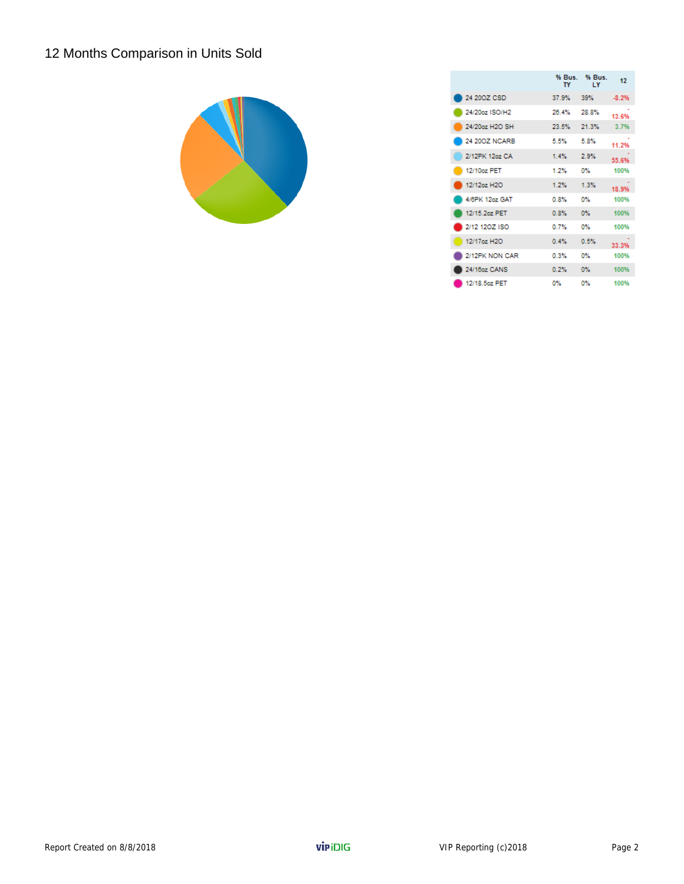# 12 Months Comparison in Units Sold



|                | TY    | % Bus. % Bus.<br>$\mathbf{I}$ Y | 12      |
|----------------|-------|---------------------------------|---------|
| 24 200Z CSD    | 37.9% | 39%                             | $-8.2%$ |
| 24/20oz ISO/H2 | 26.4% | 28.8%                           | 13.6%   |
| 24/20oz H2O SH | 23.5% | 21.3%                           | 3.7%    |
| 24 200Z NCARB  | 5.5%  | 5.8%                            | 11.2%   |
| 2/12PK 12oz CA | 1.4%  | 2.9%                            | 55.6%   |
| 12/10oz PET    | 1.2%  | 0%                              | 100%    |
| 12/12oz H2O    | 1.2%  | 1.3%                            | 18.9%   |
| 4/6PK 12oz GAT | 0.8%  | O%                              | 100%    |
| 12/15 2oz PET  | 0.8%  | OX.                             | 100%    |
| 2/12 120Z ISO  | 0.7%  | 0%                              | 100%    |
| 12/17az H2O    | 0.4%  | 0.5%                            | 33.3%   |
| 2/12PK NON CAR | 0.3%  | 0%                              | 100%    |
| 24/16oz CANS   | 0.2%  | ov.                             | 100%    |
| 12/18.5oz PET  | 0%    | 0%                              | 100%    |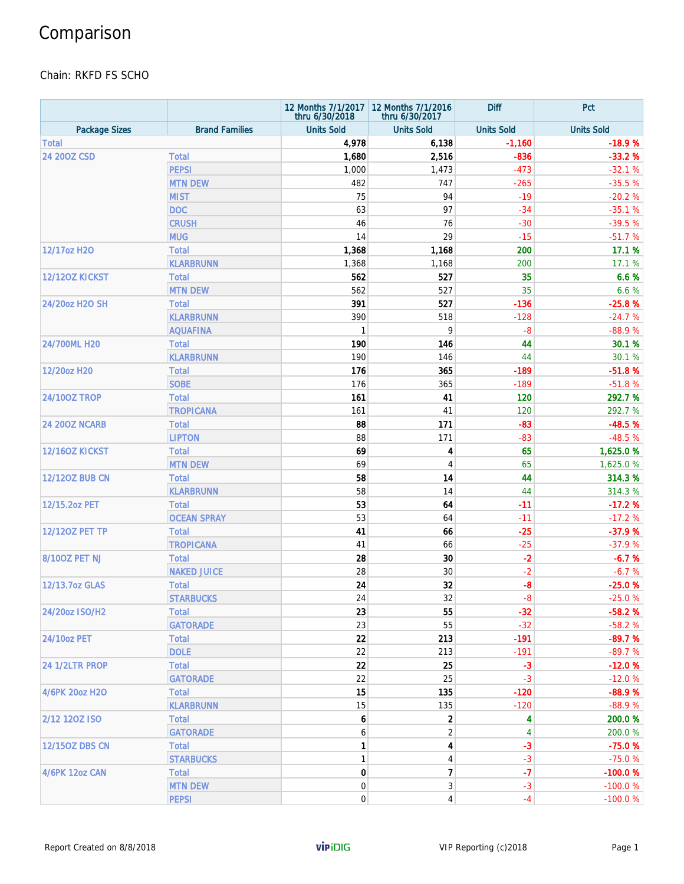# Comparison

#### Chain: RKFD FS SCHO

|                       |                       | thru 6/30/2018    | 12 Months 7/1/2017   12 Months 7/1/2016<br>thru 6/30/2017 | <b>Diff</b>       | Pct               |
|-----------------------|-----------------------|-------------------|-----------------------------------------------------------|-------------------|-------------------|
| <b>Package Sizes</b>  | <b>Brand Families</b> | <b>Units Sold</b> | <b>Units Sold</b>                                         | <b>Units Sold</b> | <b>Units Sold</b> |
| <b>Total</b>          |                       | 4,978             | 6,138                                                     | $-1,160$          | $-18.9%$          |
| 24 200Z CSD           | <b>Total</b>          | 1,680             | 2,516                                                     | $-836$            | $-33.2%$          |
|                       | <b>PEPSI</b>          | 1,000             | 1,473                                                     | $-473$            | $-32.1%$          |
|                       | <b>MTN DEW</b>        | 482               | 747                                                       | $-265$            | $-35.5%$          |
|                       | <b>MIST</b>           | 75                | 94                                                        | $-19$             | $-20.2%$          |
|                       | <b>DOC</b>            | 63                | 97                                                        | $-34$             | $-35.1%$          |
|                       | <b>CRUSH</b>          | 46                | 76                                                        | $-30$             | $-39.5%$          |
|                       | <b>MUG</b>            | 14                | 29                                                        | $-15$             | $-51.7%$          |
| 12/17oz H2O           | <b>Total</b>          | 1,368             | 1,168                                                     | 200               | 17.1 %            |
|                       | <b>KLARBRUNN</b>      | 1,368             | 1,168                                                     | 200               | 17.1 %            |
| 12/120Z KICKST        | <b>Total</b>          | 562               | 527                                                       | 35                | 6.6%              |
|                       | <b>MTN DEW</b>        | 562               | 527                                                       | 35                | 6.6 %             |
| 24/20oz H2O SH        | <b>Total</b>          | 391               | 527                                                       | $-136$            | $-25.8%$          |
|                       | <b>KLARBRUNN</b>      | 390               | 518                                                       | $-128$            | $-24.7%$          |
|                       | <b>AQUAFINA</b>       | $\mathbf{1}$      | 9                                                         | $-8$              | $-88.9%$          |
| 24/700ML H20          | <b>Total</b>          | 190               | 146                                                       | 44                | 30.1 %            |
|                       | <b>KLARBRUNN</b>      | 190               | 146                                                       | 44                | 30.1 %            |
| 12/20oz H20           | <b>Total</b>          | 176               | 365                                                       | $-189$            | $-51.8%$          |
|                       | <b>SOBE</b>           | 176               | 365                                                       | $-189$            | $-51.8%$          |
| <b>24/100Z TROP</b>   | <b>Total</b>          | 161               | 41                                                        | 120               | 292.7 %           |
|                       | <b>TROPICANA</b>      | 161               | 41                                                        | 120               | 292.7 %           |
| <b>24 200Z NCARB</b>  | <b>Total</b>          | 88                | 171                                                       | $-83$             | $-48.5%$          |
|                       | <b>LIPTON</b>         | 88                | 171                                                       | $-83$             | $-48.5%$          |
| 12/160Z KICKST        | <b>Total</b>          | 69                | 4                                                         | 65                | 1,625.0%          |
|                       | <b>MTN DEW</b>        | 69                | 4                                                         | 65                | 1,625.0%          |
| <b>12/120Z BUB CN</b> | <b>Total</b>          | 58                | 14                                                        | 44                | 314.3 %           |
|                       | <b>KLARBRUNN</b>      | 58                | 14                                                        | 44                | 314.3 %           |
| 12/15.2oz PET         | <b>Total</b>          | 53                | 64                                                        | -11               | $-17.2%$          |
|                       | <b>OCEAN SPRAY</b>    | 53                | 64                                                        | $-11$             | $-17.2%$          |
| <b>12/120Z PET TP</b> | <b>Total</b>          | 41                | 66                                                        | $-25$             | $-37.9%$          |
|                       | <b>TROPICANA</b>      | 41                | 66                                                        | $-25$             | $-37.9%$          |
| <b>8/100Z PET NJ</b>  | <b>Total</b>          | 28                | 30                                                        | $-2$              | $-6.7%$           |
|                       | <b>NAKED JUICE</b>    | 28                | 30                                                        | $-2$              | $-6.7%$           |
| 12/13.7oz GLAS        | <b>Total</b>          | 24                | 32                                                        | $-8$              | $-25.0%$          |
|                       | <b>STARBUCKS</b>      | 24                | 32                                                        | $-8$              | $-25.0%$          |
| 24/20oz ISO/H2        | Total                 | 23                | 55                                                        | $-32$             | $-58.2%$          |
|                       | <b>GATORADE</b>       | 23                | 55                                                        | $-32$             | $-58.2%$          |
| 24/10oz PET           | <b>Total</b>          | 22                | 213                                                       | $-191$            | $-89.7%$          |
|                       | <b>DOLE</b>           | 22                | 213                                                       | $-191$            | $-89.7%$          |
|                       | <b>Total</b>          | 22                | 25                                                        | $-3$              | $-12.0%$          |
| 24 1/2LTR PROP        | <b>GATORADE</b>       | 22                | 25                                                        | $-3$              | $-12.0%$          |
| 4/6PK 20oz H2O        | <b>Total</b>          | 15                | 135                                                       | $-120$            | $-88.9%$          |
|                       | <b>KLARBRUNN</b>      | 15                | 135                                                       | $-120$            | $-88.9%$          |
| 2/12 120Z ISO         | <b>Total</b>          | 6                 | $\overline{\mathbf{c}}$                                   | 4                 | 200.0%            |
|                       | <b>GATORADE</b>       | 6                 | 2                                                         | 4                 | 200.0%            |
| <b>12/150Z DBS CN</b> | <b>Total</b>          | 1                 | 4                                                         | $-3$              | $-75.0%$          |
|                       |                       | $\mathbf{1}$      | 4                                                         | $-3$              | $-75.0%$          |
|                       | <b>STARBUCKS</b>      |                   |                                                           |                   |                   |
| <b>4/6PK 12oz CAN</b> | <b>Total</b>          | 0                 | $\overline{7}$                                            | $-7$              | $-100.0%$         |
|                       | <b>MTN DEW</b>        | 0                 | 3                                                         | $-3$              | $-100.0%$         |
|                       | <b>PEPSI</b>          | $\boldsymbol{0}$  | $\overline{4}$                                            | $-4$              | $-100.0%$         |